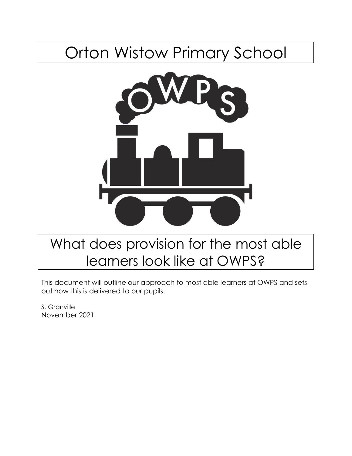# Orton Wistow Primary School



## What does provision for the most able learners look like at OWPS?

This document will outline our approach to most able learners at OWPS and sets out how this is delivered to our pupils.

S. Granville November 2021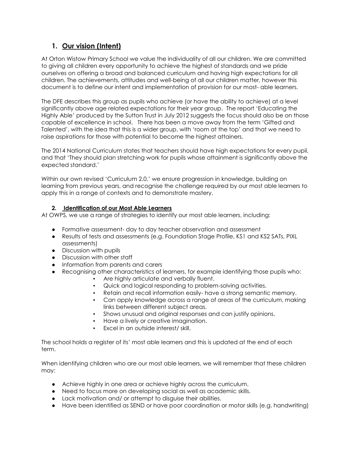### **1. Our vision (Intent)**

At Orton Wistow Primary School we value the individuality of all our children. We are committed to giving all children every opportunity to achieve the highest of standards and we pride ourselves on offering a broad and balanced curriculum and having high expectations for all children. The achievements, attitudes and well-being of all our children matter, however this document is to define our intent and implementation of provision for our most- able learners.

The DFE describes this group as pupils who achieve (or have the ability to achieve) at a level significantly above age related expectations for their year group. The report 'Educating the Highly Able' produced by the Sutton Trust in July 2012 suggests the focus should also be on those capable of excellence in school. There has been a move away from the term 'Gifted and Talented', with the idea that this is a wider group, with 'room at the top' and that we need to raise aspirations for those with potential to become the highest attainers.

The 2014 National Curriculum states that teachers should have high expectations for every pupil, and that 'They should plan stretching work for pupils whose attainment is significantly above the expected standard.'

Within our own revised 'Curriculum 2.0,' we ensure progression in knowledge, building on learning from previous years, and recognise the challenge required by our most able learners to apply this in a range of contexts and to demonstrate mastery.

#### **2. Identification of our Most Able Learners**

At OWPS, we use a range of strategies to identify our most able learners, including:

- Formative assessment- day to day teacher observation and assessment
- Results of tests and assessments (e.g. Foundation Stage Profile, KS1 and KS2 SATs, PIXL assessments)
- Discussion with pupils
- Discussion with other staff
- Information from parents and carers
- Recognising other characteristics of learners, for example identifying those pupils who:
	- Are highly articulate and verbally fluent.
	- Quick and logical responding to problem-solving activities.
	- Retain and recall information easily- have a strong semantic memory.
	- Can apply knowledge across a range of areas of the curriculum, making links between different subject areas.
	- Shows unusual and original responses and can justify opinions.
	- Have a lively or creative imagination.
	- Excel in an outside interest/ skill.

The school holds a register of its' most able learners and this is updated at the end of each term.

When identifying children who are our most able learners, we will remember that these children may:

- Achieve highly in one area or achieve highly across the curriculum.
- Need to focus more on developing social as well as academic skills.
- Lack motivation and/ or attempt to disguise their abilities.
- Have been identified as SEND or have poor coordination or motor skills (e.g. handwriting)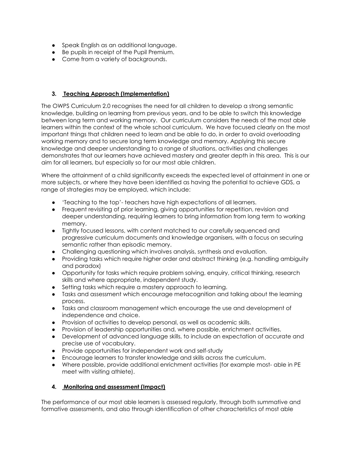- Speak English as an additional language.
- Be pupils in receipt of the Pupil Premium.
- Come from a variety of backgrounds.

#### **3. Teaching Approach (Implementation)**

The OWPS Curriculum 2.0 recognises the need for all children to develop a strong semantic knowledge, building on learning from previous years, and to be able to switch this knowledge between long term and working memory. Our curriculum considers the needs of the most able learners within the context of the whole school curriculum. We have focused clearly on the most important things that children need to learn and be able to do, in order to avoid overloading working memory and to secure long term knowledge and memory. Applying this secure knowledge and deeper understanding to a range of situations, activities and challenges demonstrates that our learners have achieved mastery and greater depth in this area. This is our aim for all learners, but especially so for our most able children.

Where the attainment of a child significantly exceeds the expected level of attainment in one or more subjects, or where they have been identified as having the potential to achieve GDS, a range of strategies may be employed, which include:

- 'Teaching to the top'- teachers have high expectations of all learners.
- Frequent revisiting of prior learning, giving opportunities for repetition, revision and deeper understanding, requiring learners to bring information from long term to working memory.
- Tightly focused lessons, with content matched to our carefully sequenced and progressive curriculum documents and knowledge organisers, with a focus on securing semantic rather than episodic memory.
- Challenging questioning which involves analysis, synthesis and evaluation.
- Providing tasks which require higher order and abstract thinking (e.g. handling ambiguity and paradox)
- Opportunity for tasks which require problem solving, enquiry, critical thinking, research skills and where appropriate, independent study.
- Setting tasks which require a mastery approach to learning.
- Tasks and assessment which encourage metacognition and talking about the learning process.
- Tasks and classroom management which encourage the use and development of independence and choice.
- Provision of activities to develop personal, as well as academic skills.
- Provision of leadership opportunities and, where possible, enrichment activities.
- Development of advanced language skills, to include an expectation of accurate and precise use of vocabulary.
- Provide opportunities for independent work and self-study
- Encourage learners to transfer knowledge and skills across the curriculum.
- Where possible, provide additional enrichment activities (for example most- able in PE meet with visiting athlete).

#### **4. Monitoring and assessment (Impact)**

The performance of our most able learners is assessed regularly, through both summative and formative assessments, and also through identification of other characteristics of most able